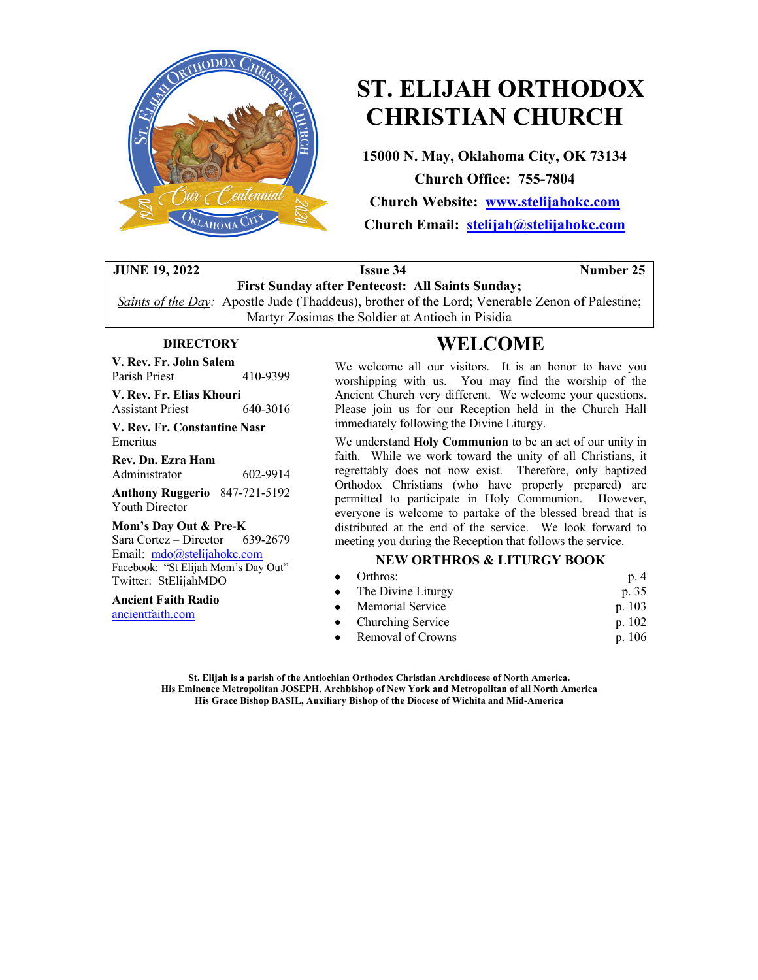

# **ST. ELIJAH ORTHODOX CHRISTIAN CHURCH**

**15000 N. May, Oklahoma City, OK 73134 Church Office: 755-7804**

**Church Website: www.stelijahokc.com Church Email: stelijah@stelijahokc.com**

### **JUNE 19, 2022 Issue 34 Number** 25

**First Sunday after Pentecost: All Saints Sunday;** *Saints of the Day:* Apostle Jude (Thaddeus), brother of the Lord; Venerable Zenon of Palestine; Martyr Zosimas the Soldier at Antioch in Pisidia

### **DIRECTORY**

**V. Rev. Fr. John Salem** Parish Priest 410-9399

**V. Rev. Fr. Elias Khouri** Assistant Priest 640-3016

**V. Rev. Fr. Constantine Nasr**

Emeritus **Rev. Dn. Ezra Ham**

| Administrator | 602-9914 |
|---------------|----------|
|               |          |

**Anthony Ruggerio** 847-721-5192 Youth Director

#### **Mom's Day Out & Pre-K**

Sara Cortez – Director 639-2679 Email: mdo@stelijahokc.com Facebook: "St Elijah Mom's Day Out" Twitter: StElijahMDO

**Ancient Faith Radio** ancientfaith.com

# **WELCOME**

We welcome all our visitors. It is an honor to have you worshipping with us. You may find the worship of the Ancient Church very different. We welcome your questions. Please join us for our Reception held in the Church Hall immediately following the Divine Liturgy.

We understand **Holy Communion** to be an act of our unity in faith. While we work toward the unity of all Christians, it regrettably does not now exist. Therefore, only baptized Orthodox Christians (who have properly prepared) are permitted to participate in Holy Communion. However, everyone is welcome to partake of the blessed bread that is distributed at the end of the service. We look forward to meeting you during the Reception that follows the service.

### **NEW ORTHROS & LITURGY BOOK**

| $\bullet$ Orthros:   | p. 4     |
|----------------------|----------|
| • The Divine Liturgy | p. 35    |
| • Memorial Service   | p. 103   |
| • Churching Service  | p. $102$ |
| • Removal of Crowns  | p. 106   |

**St. Elijah is a parish of the Antiochian Orthodox Christian Archdiocese of North America. His Eminence Metropolitan JOSEPH, Archbishop of New York and Metropolitan of all North America His Grace Bishop BASIL, Auxiliary Bishop of the Diocese of Wichita and Mid-America**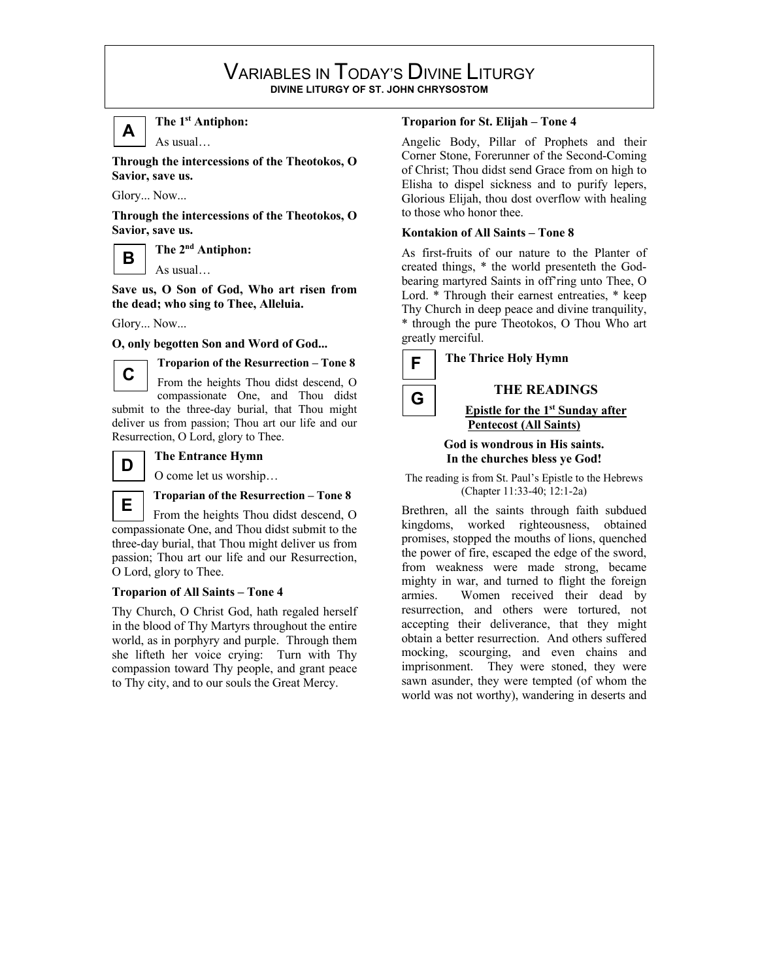### VARIABLES IN TODAY'S DIVINE LITURGY **DIVINE LITURGY OF ST. JOHN CHRYSOSTOM**



**The 1st Antiphon:**

As usual…

**Through the intercessions of the Theotokos, O Savior, save us.**

Glory... Now...

**Through the intercessions of the Theotokos, O Savior, save us.**

**B**

As usual…

**The 2nd Antiphon:**

**Save us, O Son of God, Who art risen from the dead; who sing to Thee, Alleluia.**

Glory... Now...

**O, only begotten Son and Word of God...**



**Troparion of the Resurrection – Tone 8**

From the heights Thou didst descend, O compassionate One, and Thou didst submit to the three-day burial, that Thou might deliver us from passion; Thou art our life and our Resurrection, O Lord, glory to Thee.



### **The Entrance Hymn**

O come let us worship…

### **Troparian of the Resurrection – Tone 8**

From the heights Thou didst descend, O compassionate One, and Thou didst submit to the three-day burial, that Thou might deliver us from passion; Thou art our life and our Resurrection, O Lord, glory to Thee. **E**

### **Troparion of All Saints – Tone 4**

Thy Church, O Christ God, hath regaled herself in the blood of Thy Martyrs throughout the entire world, as in porphyry and purple. Through them she lifteth her voice crying: Turn with Thy compassion toward Thy people, and grant peace to Thy city, and to our souls the Great Mercy.

### **Troparion for St. Elijah – Tone 4**

Angelic Body, Pillar of Prophets and their Corner Stone, Forerunner of the Second-Coming of Christ; Thou didst send Grace from on high to Elisha to dispel sickness and to purify lepers, Glorious Elijah, thou dost overflow with healing to those who honor thee.

### **Kontakion of All Saints – Tone 8**

As first-fruits of our nature to the Planter of created things, \* the world presenteth the Godbearing martyred Saints in off'ring unto Thee, O Lord. \* Through their earnest entreaties, \* keep Thy Church in deep peace and divine tranquility, \* through the pure Theotokos, O Thou Who art greatly merciful.



**G**

### **THE READINGS**

### **Epistle for the 1st Sunday after Pentecost (All Saints)**

### **God is wondrous in His saints. In the churches bless ye God!**

The reading is from St. Paul's Epistle to the Hebrews (Chapter 11:33-40; 12:1-2a)

Brethren, all the saints through faith subdued kingdoms, worked righteousness, obtained promises, stopped the mouths of lions, quenched the power of fire, escaped the edge of the sword, from weakness were made strong, became mighty in war, and turned to flight the foreign armies. Women received their dead by resurrection, and others were tortured, not accepting their deliverance, that they might obtain a better resurrection. And others suffered mocking, scourging, and even chains and imprisonment. They were stoned, they were sawn asunder, they were tempted (of whom the world was not worthy), wandering in deserts and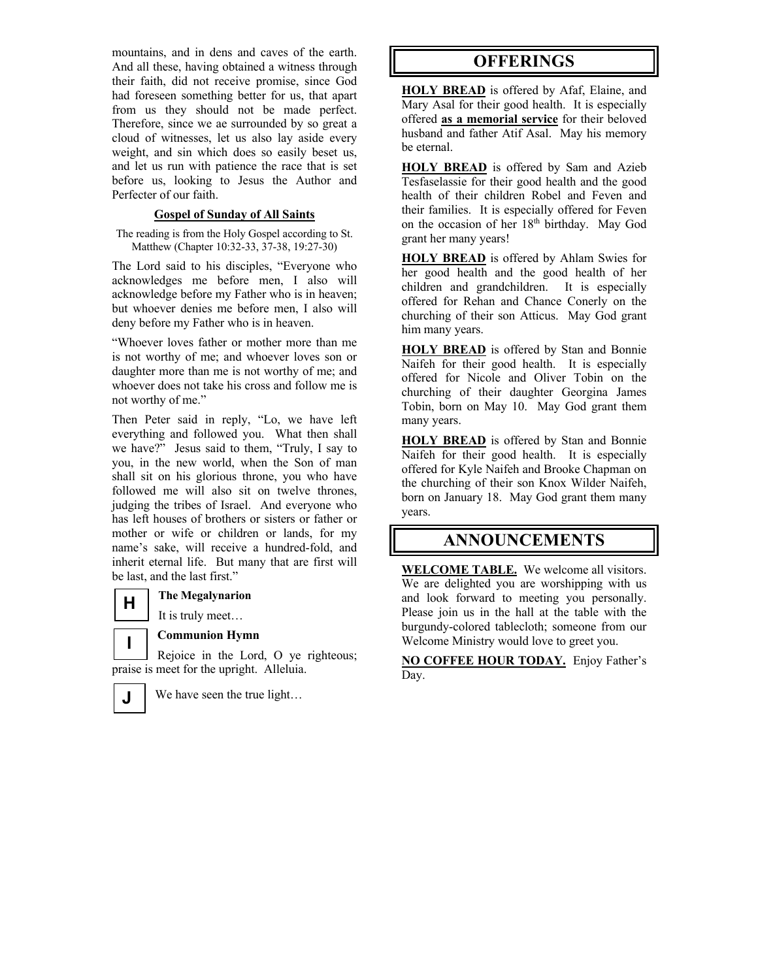mountains, and in dens and caves of the earth. And all these, having obtained a witness through their faith, did not receive promise, since God had foreseen something better for us, that apart from us they should not be made perfect. Therefore, since we ae surrounded by so great a cloud of witnesses, let us also lay aside every weight, and sin which does so easily beset us, and let us run with patience the race that is set before us, looking to Jesus the Author and Perfecter of our faith.

### **Gospel of Sunday of All Saints**

The reading is from the Holy Gospel according to St. Matthew (Chapter 10:32-33, 37-38, 19:27-30)

The Lord said to his disciples, "Everyone who acknowledges me before men, I also will acknowledge before my Father who is in heaven; but whoever denies me before men, I also will deny before my Father who is in heaven.

"Whoever loves father or mother more than me is not worthy of me; and whoever loves son or daughter more than me is not worthy of me; and whoever does not take his cross and follow me is not worthy of me."

Then Peter said in reply, "Lo, we have left everything and followed you. What then shall we have?" Jesus said to them, "Truly, I say to you, in the new world, when the Son of man shall sit on his glorious throne, you who have followed me will also sit on twelve thrones, judging the tribes of Israel. And everyone who has left houses of brothers or sisters or father or mother or wife or children or lands, for my name's sake, will receive a hundred-fold, and inherit eternal life. But many that are first will be last, and the last first."

### **The Megalynarion**

It is truly meet…

**Communion Hymn**

Rejoice in the Lord, O ye righteous; praise is meet for the upright. Alleluia. **I**



**H** 

We have seen the true light…

## **OFFERINGS**

**HOLY BREAD** is offered by Afaf, Elaine, and Mary Asal for their good health. It is especially offered **as a memorial service** for their beloved husband and father Atif Asal. May his memory be eternal.

**HOLY BREAD** is offered by Sam and Azieb Tesfaselassie for their good health and the good health of their children Robel and Feven and their families. It is especially offered for Feven on the occasion of her 18<sup>th</sup> birthday. May God grant her many years!

**HOLY BREAD** is offered by Ahlam Swies for her good health and the good health of her children and grandchildren. It is especially offered for Rehan and Chance Conerly on the churching of their son Atticus. May God grant him many years.

**HOLY BREAD** is offered by Stan and Bonnie Naifeh for their good health. It is especially offered for Nicole and Oliver Tobin on the churching of their daughter Georgina James Tobin, born on May 10. May God grant them many years.

**HOLY BREAD** is offered by Stan and Bonnie Naifeh for their good health. It is especially offered for Kyle Naifeh and Brooke Chapman on the churching of their son Knox Wilder Naifeh, born on January 18. May God grant them many years.

## **ANNOUNCEMENTS**

**WELCOME TABLE.** We welcome all visitors. We are delighted you are worshipping with us and look forward to meeting you personally. Please join us in the hall at the table with the burgundy-colored tablecloth; someone from our Welcome Ministry would love to greet you.

**NO COFFEE HOUR TODAY.** Enjoy Father's Day.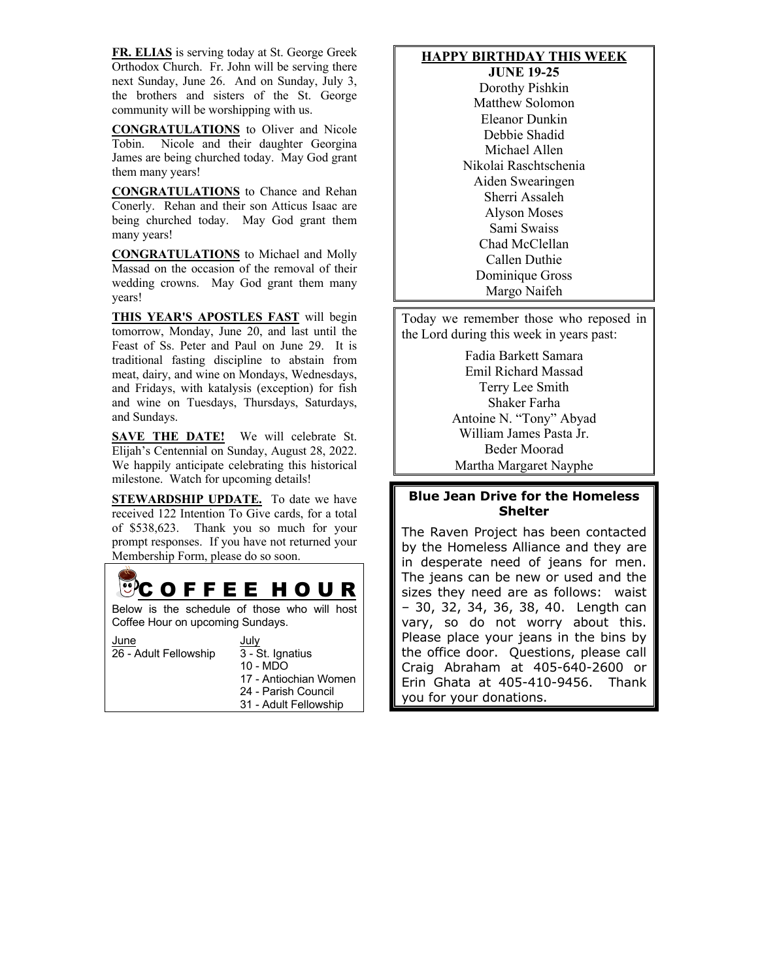**FR. ELIAS** is serving today at St. George Greek Orthodox Church. Fr. John will be serving there next Sunday, June 26. And on Sunday, July 3, the brothers and sisters of the St. George community will be worshipping with us.

**CONGRATULATIONS** to Oliver and Nicole Tobin. Nicole and their daughter Georgina James are being churched today. May God grant them many years!

**CONGRATULATIONS** to Chance and Rehan Conerly. Rehan and their son Atticus Isaac are being churched today. May God grant them many years!

**CONGRATULATIONS** to Michael and Molly Massad on the occasion of the removal of their wedding crowns. May God grant them many years!

**THIS YEAR'S APOSTLES FAST** will begin tomorrow, Monday, June 20, and last until the Feast of Ss. Peter and Paul on June 29. It is traditional fasting discipline to abstain from meat, dairy, and wine on Mondays, Wednesdays, and Fridays, with katalysis (exception) for fish and wine on Tuesdays, Thursdays, Saturdays, and Sundays.

**SAVE THE DATE!** We will celebrate St. Elijah's Centennial on Sunday, August 28, 2022. We happily anticipate celebrating this historical milestone. Watch for upcoming details!

**STEWARDSHIP UPDATE.** To date we have received 122 Intention To Give cards, for a total of \$538,623. Thank you so much for your prompt responses. If you have not returned your Membership Form, please do so soon.



### **HAPPY BIRTHDAY THIS WEEK**

**JUNE 19-25** Dorothy Pishkin Matthew Solomon Eleanor Dunkin Debbie Shadid Michael Allen Nikolai Raschtschenia Aiden Swearingen Sherri Assaleh Alyson Moses Sami Swaiss Chad McClellan Callen Duthie Dominique Gross Margo Naifeh

Today we remember those who reposed in the Lord during this week in years past:

> Fadia Barkett Samara Emil Richard Massad Terry Lee Smith Shaker Farha Antoine N. "Tony" Abyad William James Pasta Jr. Beder Moorad Martha Margaret Nayphe

### **Blue Jean Drive for the Homeless Shelter**

The Raven Project has been contacted by the Homeless Alliance and they are in desperate need of jeans for men. The jeans can be new or used and the sizes they need are as follows: waist – 30, 32, 34, 36, 38, 40. Length can vary, so do not worry about this. Please place your jeans in the bins by the office door. Questions, please call Craig Abraham at 405-640-2600 or Erin Ghata at 405-410-9456. Thank you for your donations.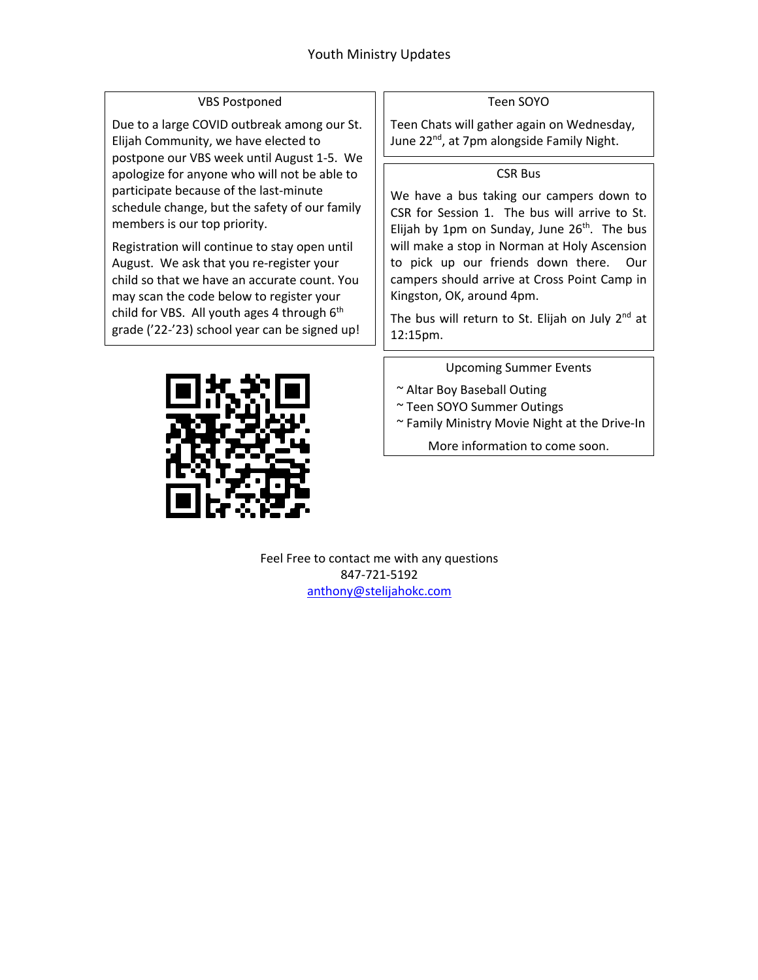### VBS Postponed

Due to a large COVID outbreak among our St. Elijah Community, we have elected to postpone our VBS week until August 1-5. We apologize for anyone who will not be able to participate because of the last-minute schedule change, but the safety of our family members is our top priority.

Registration will continue to stay open until August. We ask that you re-register your child so that we have an accurate count. You may scan the code below to register your child for VBS. All youth ages 4 through 6<sup>th</sup> grade ('22-'23) school year can be signed up!



Teen Chats will gather again on Wednesday, June 22<sup>nd</sup>, at 7pm alongside Family Night.

### CSR Bus

We have a bus taking our campers down to CSR for Session 1. The bus will arrive to St. Elijah by 1pm on Sunday, June  $26<sup>th</sup>$ . The bus will make a stop in Norman at Holy Ascension to pick up our friends down there. Our campers should arrive at Cross Point Camp in Kingston, OK, around 4pm.

The bus will return to St. Elijah on July  $2^{nd}$  at 12:15pm.

Upcoming Summer Events

- ~ Altar Boy Baseball Outing
- ~ Teen SOYO Summer Outings
- ~ Family Ministry Movie Night at the Drive-In

More information to come soon.



Feel Free to contact me with any questions 847-721-5192 anthony@stelijahokc.com